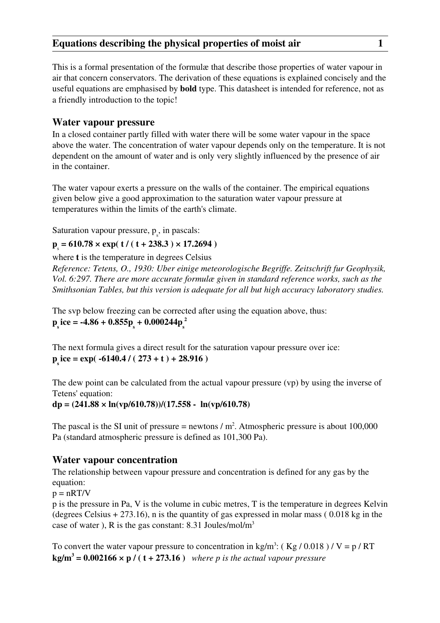This is a formal presentation of the formulæ that describe those properties of water vapour in air that concern conservators. The derivation of these equations is explained concisely and the useful equations are emphasised by bold type. This datasheet is intended for reference, not as a friendly introduction to the topic!

### Water vapour pressure

In a closed container partly filled with water there will be some water vapour in the space above the water. The concentration of water vapour depends only on the temperature. It is not dependent on the amount of water and is only very slightly influenced by the presence of air in the container.

The water vapour exerts a pressure on the walls of the container. The empirical equations given below give a good approximation to the saturation water vapour pressure at temperatures within the limits of the earth's climate.

Saturation vapour pressure,  $p_s$ , in pascals:

# $p_s = 610.78 \times exp(t/(t + 238.3) \times 17.2694)$

where t is the temperature in degrees Celsius

*Reference: Tetens, O., 1930: Uber einige meteorologische Begriffe. Zeitschrift fur Geophysik, Vol. 6:297. There are more accurate formulæ given in standard reference works, such as the Smithsonian Tables, but this version is adequate for all but high accuracy laboratory studies.* 

The svp below freezing can be corrected after using the equation above, thus:  $p_s$ ice = -4.86 + 0.855 $p_s + 0.000244 p_s$ 2

The next formula gives a direct result for the saturation vapour pressure over ice:  $p<sub>s</sub>$ ice = exp( -6140.4 / (273 + t) + 28.916)

The dew point can be calculated from the actual vapour pressure (vp) by using the inverse of Tetens' equation:

 $dp = (241.88 \times ln(vp/610.78))/(17.558 - ln(vp/610.78))$ 

The pascal is the SI unit of pressure = newtons  $/m<sup>2</sup>$ . Atmospheric pressure is about 100,000 Pa (standard atmospheric pressure is defined as 101,300 Pa).

### Water vapour concentration

The relationship between vapour pressure and concentration is defined for any gas by the equation:

 $p = nRT/V$ 

p is the pressure in Pa, V is the volume in cubic metres, T is the temperature in degrees Kelvin (degrees Celsius  $+ 273.16$ ), n is the quantity of gas expressed in molar mass (0.018 kg in the case of water ), R is the gas constant: 8.31 Joules/mol/m<sup>3</sup>

To convert the water vapour pressure to concentration in kg/m<sup>3</sup>: (Kg/0.018)/V = p/RT  $\text{kg/m}^3$  = 0.002166  $\times$  p / (t + 273.16) where p is the actual vapour pressure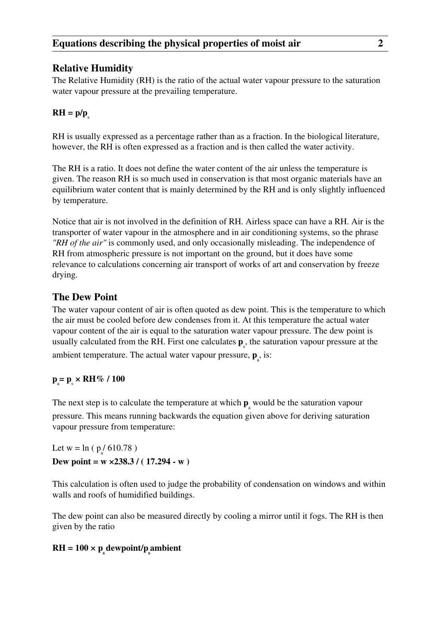# Relative Humidity

The Relative Humidity (RH) is the ratio of the actual water vapour pressure to the saturation water vapour pressure at the prevailing temperature.

# $RH = p/p$

RH is usually expressed as a percentage rather than as a fraction. In the biological literature, however, the RH is often expressed as a fraction and is then called the water activity.

The RH is a ratio. It does not define the water content of the air unless the temperature is given. The reason RH is so much used in conservation is that most organic materials have an equilibrium water content that is mainly determined by the RH and is only slightly influenced by temperature.

Notice that air is not involved in the definition of RH. Airless space can have a RH. Air is the transporter of water vapour in the atmosphere and in air conditioning systems, so the phrase *"RH of the air"* is commonly used, and only occasionally misleading. The independence of RH from atmospheric pressure is not important on the ground, but it does have some relevance to calculations concerning air transport of works of art and conservation by freeze drying.

## The Dew Point

The water vapour content of air is often quoted as dew point. This is the temperature to which the air must be cooled before dew condenses from it. At this temperature the actual water vapour content of the air is equal to the saturation water vapour pressure. The dew point is usually calculated from the RH. First one calculates  $\mathbf{p}_s$ , the saturation vapour pressure at the ambient temperature. The actual water vapour pressure,  $\mathbf{p}_{a}$ , is:

# $p_a = p_s \times RH\% / 100$

The next step is to calculate the temperature at which  $\mathbf{p}_{\text{a}}$  would be the saturation vapour pressure. This means running backwards the equation given above for deriving saturation vapour pressure from temperature:

Let  $w = \ln (p_a / 610.78)$ Dew point =  $w \times 238.3 / (17.294 - w)$ 

This calculation is often used to judge the probability of condensation on windows and within walls and roofs of humidified buildings.

The dew point can also be measured directly by cooling a mirror until it fogs. The RH is then given by the ratio

# $\text{RH} = 100 \times \text{p}_{\text{s}}$  dewpoint/p<sub>s</sub>ambient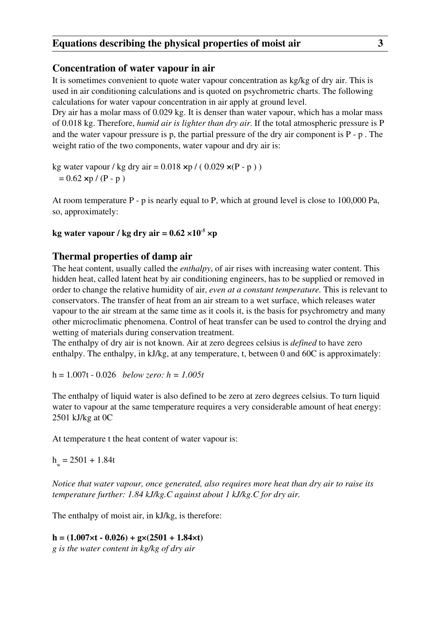### Concentration of water vapour in air

It is sometimes convenient to quote water vapour concentration as kg/kg of dry air. This is used in air conditioning calculations and is quoted on psychrometric charts. The following calculations for water vapour concentration in air apply at ground level.

Dry air has a molar mass of 0.029 kg. It is denser than water vapour, which has a molar mass of 0.018 kg. Therefore, *humid air is lighter than dry air*. If the total atmospheric pressure is P and the water vapour pressure is p, the partial pressure of the dry air component is  $P - p$ . The weight ratio of the two components, water vapour and dry air is:

kg water vapour / kg dry air =  $0.018 \times p$  / ( 0.029  $\times (P - p)$  )  $= 0.62 \times p / (P - p)$ 

At room temperature P - p is nearly equal to P, which at ground level is close to 100,000 Pa, so, approximately:

### kg water vapour / kg dry air =  $0.62 \times 10^{-5}$  ×p

### Thermal properties of damp air

The heat content, usually called the *enthalpy*, of air rises with increasing water content. This hidden heat, called latent heat by air conditioning engineers, has to be supplied or removed in order to change the relative humidity of air, *even at a constant temperature.* This is relevant to conservators. The transfer of heat from an air stream to a wet surface, which releases water vapour to the air stream at the same time as it cools it, is the basis for psychrometry and many other microclimatic phenomena. Control of heat transfer can be used to control the drying and wetting of materials during conservation treatment.

The enthalpy of dry air is not known. Air at zero degrees celsius is *defined* to have zero enthalpy. The enthalpy, in kJ/kg, at any temperature, t, between 0 and 60C is approximately:

h = 1.007t - 0.026 *below zero: h = 1.005t* 

The enthalpy of liquid water is also defined to be zero at zero degrees celsius. To turn liquid water to vapour at the same temperature requires a very considerable amount of heat energy: 2501 kJ/kg at 0C

At temperature t the heat content of water vapour is:

 $h_w = 2501 + 1.84t$ 

*Notice that water vapour, once generated, also requires more heat than dry air to raise its temperature further: 1.84 kJ/kg.C against about 1 kJ/kg.C for dry air.* 

The enthalpy of moist air, in kJ/kg, is therefore:

### $h = (1.007 \times t - 0.026) + g \times (2501 + 1.84 \times t)$

*g is the water content in kg/kg of dry air*